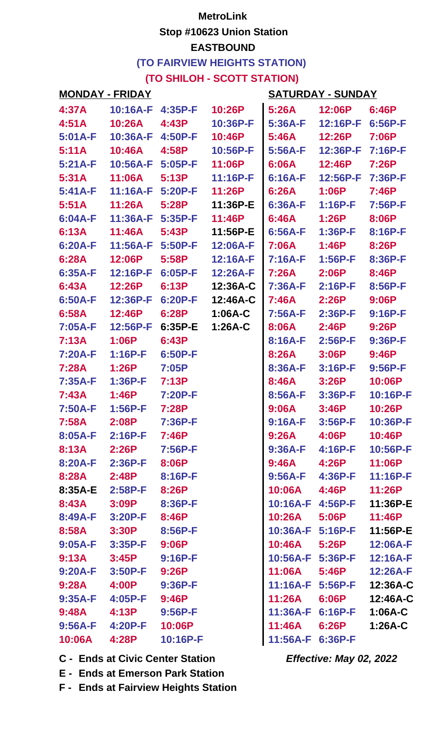### **MetroLink**

**Stop #10623 Union Station**

## **EASTBOUND**

**(TO FAIRVIEW HEIGHTS STATION)**

**(TO SHILOH - SCOTT STATION)**

## **MONDAY - FRIDAY SATURDAY - SUNDAY**

| 4:37A     | 10:16A-F  | $4:35P-F$ | 10:26P    | 5:26A     | 12:06P    | 6:46P     |
|-----------|-----------|-----------|-----------|-----------|-----------|-----------|
| 4:51A     | 10:26A    | 4:43P     | 10:36P-F  | 5:36A-F   | 12:16P-F  | 6:56P-F   |
| $5:01A-F$ | 10:36A-F  | 4:50P-F   | 10:46P    | 5:46A     | 12:26P    | 7:06P     |
| 5:11A     | 10:46A    | 4:58P     | 10:56P-F  | 5:56A-F   | 12:36P-F  | 7:16P-F   |
| 5:21A-F   | 10:56A-F  | 5:05P-F   | 11:06P    | 6:06A     | 12:46P    | 7:26P     |
| 5:31A     | 11:06A    | 5:13P     | 11:16P-F  | 6:16A-F   | 12:56P-F  | 7:36P-F   |
| $5:41A-F$ | 11:16A-F  | 5:20P-F   | 11:26P    | 6:26A     | 1:06P     | 7:46P     |
| 5:51A     | 11:26A    | 5:28P     | 11:36P-E  | 6:36A-F   | $1:16P-F$ | 7:56P-F   |
| 6:04A-F   | 11:36A-F  | 5:35P-F   | 11:46P    | 6:46A     | 1:26P     | 8:06P     |
| 6:13A     | 11:46A    | 5:43P     | 11:56P-E  | 6:56A-F   | $1:36P-F$ | 8:16P-F   |
| 6:20A-F   | 11:56A-F  | 5:50P-F   | 12:06A-F  | 7:06A     | 1:46P     | 8:26P     |
| 6:28A     | 12:06P    | 5:58P     | 12:16A-F  | 7:16A-F   | $1:56P-F$ | 8:36P-F   |
| 6:35A-F   | 12:16P-F  | 6:05P-F   | 12:26A-F  | 7:26A     | 2:06P     | 8:46P     |
| 6:43A     | 12:26P    | 6:13P     | 12:36A-C  | 7:36A-F   | $2:16P-F$ | 8:56P-F   |
| 6:50A-F   | 12:36P-F  | 6:20P-F   | 12:46A-C  | 7:46A     | 2:26P     | 9:06P     |
| 6:58A     | 12:46P    | 6:28P     | $1:06A-C$ | 7:56A-F   | $2:36P-F$ | $9:16P-F$ |
| 7:05A-F   | 12:56P-F  | 6:35P-E   | $1:26A-C$ | 8:06A     | 2:46P     | 9:26P     |
| 7:13A     | 1:06P     | 6:43P     |           | 8:16A-F   | $2:56P-F$ | 9:36P-F   |
| 7:20A-F   | $1:16P-F$ | 6:50P-F   |           | 8:26A     | 3:06P     | 9:46P     |
| 7:28A     | 1:26P     | 7:05P     |           | 8:36A-F   | 3:16P-F   | $9:56P-F$ |
| 7:35A-F   | 1:36P-F   | 7:13P     |           | 8:46A     | 3:26P     | 10:06P    |
| 7:43A     | 1:46P     | 7:20P-F   |           | 8:56A-F   | $3:36P-F$ | 10:16P-F  |
| 7:50A-F   | 1:56P-F   | 7:28P     |           | 9:06A     | 3:46P     | 10:26P    |
| 7:58A     | 2:08P     | 7:36P-F   |           | 9:16A-F   | 3:56P-F   | 10:36P-F  |
| 8:05A-F   | $2:16P-F$ | 7:46P     |           | 9:26A     | 4:06P     | 10:46P    |
| 8:13A     | 2:26P     | 7:56P-F   |           | $9:36A-F$ | $4:16P-F$ | 10:56P-F  |
| 8:20A-F   | $2:36P-F$ | 8:06P     |           | 9:46A     | 4:26P     | 11:06P    |
| 8:28A     | 2:48P     | 8:16P-F   |           | $9:56A-F$ | $4:36P-F$ | 11:16P-F  |
| 8:35A-E   | $2:58P-F$ | 8:26P     |           | 10:06A    | 4:46P     | 11:26P    |
| 8:43A     | 3:09P     | 8:36P-F   |           | 10:16A-F  | $4:56P-F$ | 11:36P-E  |
| 8:49A-F   | $3:20P-F$ | 8:46P     |           | 10:26A    | 5:06P     | 11:46P    |
| 8:58A     | 3:30P     | 8:56P-F   |           | 10:36A-F  | 5:16P-F   | 11:56P-E  |
| 9:05A-F   | $3:35P-F$ | 9:06P     |           | 10:46A    | 5:26P     | 12:06A-F  |
| 9:13A     | 3:45P     | $9:16P-F$ |           | 10:56A-F  | $5:36P-F$ | 12:16A-F  |
| 9:20A-F   | 3:50P-F   | 9:26P     |           | 11:06A    | 5:46P     | 12:26A-F  |
| 9:28A     | 4:00P     | $9:36P-F$ |           | 11:16A-F  | $5:56P-F$ | 12:36A-C  |
| $9:35A-F$ | $4:05P-F$ | 9:46P     |           | 11:26A    | 6:06P     | 12:46A-C  |
| 9:48A     | 4:13P     | $9:56P-F$ |           | 11:36A-F  | $6:16P-F$ | $1:06A-C$ |
| $9:56A-F$ | 4:20P-F   | 10:06P    |           | 11:46A    | 6:26P     | 1:26A-C   |
| 10:06A    | 4:28P     | 10:16P-F  |           | 11:56A-F  | 6:36P-F   |           |

**C - Ends at Civic Center Station**

**E - Ends at Emerson Park Station**

**F - Ends at Fairview Heights Station**

**Effective: May 02, 2022**